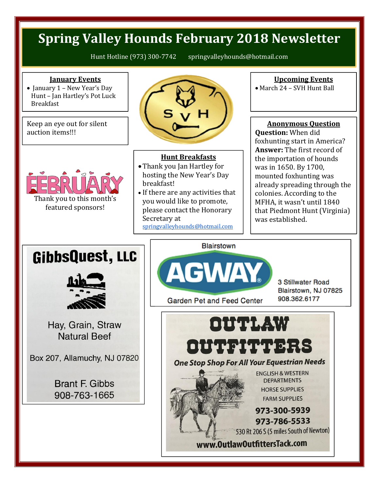### **Spring Valley Hounds February 2018 Newsletter**

Hunt Hotline (973) 300-7742 springvalleyhounds@hotmail.com

#### **January Events**

 $\bullet$  January 1 – New Year's Day Hunt – Jan Hartley's Pot Luck Breakfast

Keep an eye out for silent auction items!!!



# Thank you to this month's

featured sponsors!

## **Hunt Breakfasts**

- Thank you Jan Hartley for hosting the New Year's Day breakfast!
- If there are any activities that you would like to promote, please contact the Honorary Secretary at springvalleyhounds@hotmail.com

### **Upcoming Events**

March 24 – SVH Hunt Ball

### **Anonymous Question**

**Question:** When did foxhunting start in America? **Answer:** The first record of the importation of hounds was in 1650. By 1700, mounted foxhunting was already spreading through the colonies. According to the MFHA, it wasn't until 1840 that Piedmont Hunt (Virginia) was established.

### GibbsQuest, LLC



Hay, Grain, Straw **Natural Beef** 

Box 207, Allamuchy, NJ 07820

**Brant F. Gibbs** 908-763-1665



Garden Pet and Feed Center

**Blairstown** 

3 Stillwater Road Blairstown, NJ 07825 908.362.6177



www.OutlawOutfittersTack.com